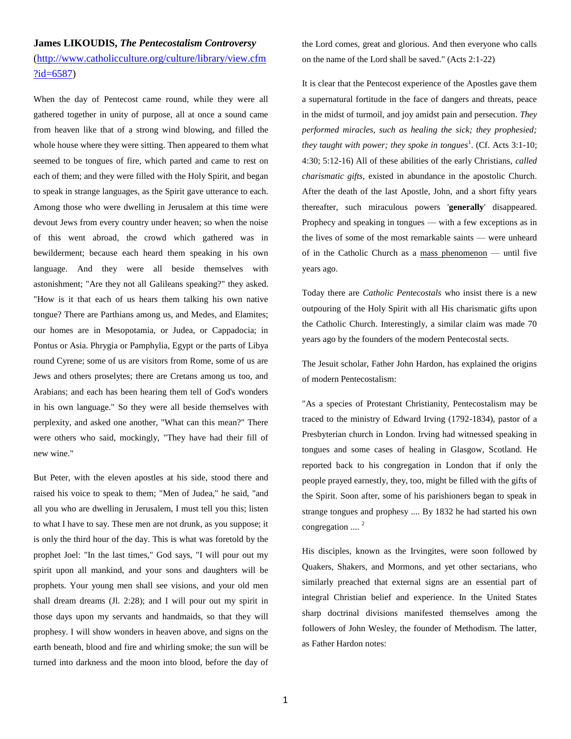## **James LIKOUDIS,** *The Pentecostalism Controversy*

[\(http://www.catholicculture.org/culture/library/view.cfm](http://www.catholicculture.org/culture/library/view.cfm?id=6587)  $?id = 6587$ 

When the day of Pentecost came round, while they were all gathered together in unity of purpose, all at once a sound came from heaven like that of a strong wind blowing, and filled the whole house where they were sitting. Then appeared to them what seemed to be tongues of fire, which parted and came to rest on each of them; and they were filled with the Holy Spirit, and began to speak in strange languages, as the Spirit gave utterance to each. Among those who were dwelling in Jerusalem at this time were devout Jews from every country under heaven; so when the noise of this went abroad, the crowd which gathered was in bewilderment; because each heard them speaking in his own language. And they were all beside themselves with astonishment; "Are they not all Galileans speaking?" they asked. "How is it that each of us hears them talking his own native tongue? There are Parthians among us, and Medes, and Elamites; our homes are in Mesopotamia, or Judea, or Cappadocia; in Pontus or Asia. Phrygia or Pamphylia, Egypt or the parts of Libya round Cyrene; some of us are visitors from Rome, some of us are Jews and others proselytes; there are Cretans among us too, and Arabians; and each has been hearing them tell of God's wonders in his own language." So they were all beside themselves with perplexity, and asked one another, "What can this mean?" There were others who said, mockingly, "They have had their fill of new wine."

But Peter, with the eleven apostles at his side, stood there and raised his voice to speak to them; "Men of Judea," he said, "and all you who are dwelling in Jerusalem, I must tell you this; listen to what I have to say. These men are not drunk, as you suppose; it is only the third hour of the day. This is what was foretold by the prophet Joel: "In the last times," God says, "I will pour out my spirit upon all mankind, and your sons and daughters will be prophets. Your young men shall see visions, and your old men shall dream dreams (Jl. 2:28); and I will pour out my spirit in those days upon my servants and handmaids, so that they will prophesy. I will show wonders in heaven above, and signs on the earth beneath, blood and fire and whirling smoke; the sun will be turned into darkness and the moon into blood, before the day of the Lord comes, great and glorious. And then everyone who calls on the name of the Lord shall be saved." (Acts 2:1-22)

It is clear that the Pentecost experience of the Apostles gave them a supernatural fortitude in the face of dangers and threats, peace in the midst of turmoil, and joy amidst pain and persecution. *They performed miracles, such as healing the sick; they prophesied;*  they taught with power; they spoke in tongues<sup>1</sup>. (Cf. Acts 3:1-10; 4:30; 5:12-16) All of these abilities of the early Christians, *called charismatic gifts*, existed in abundance in the apostolic Church. After the death of the last Apostle, John, and a short fifty years thereafter, such miraculous powers '**generally**' disappeared. Prophecy and speaking in tongues — with a few exceptions as in the lives of some of the most remarkable saints — were unheard of in the Catholic Church as a mass phenomenon — until five years ago.

Today there are *Catholic Pentecostals* who insist there is a new outpouring of the Holy Spirit with all His charismatic gifts upon the Catholic Church. Interestingly, a similar claim was made 70 years ago by the founders of the modern Pentecostal sects.

The Jesuit scholar, Father John Hardon, has explained the origins of modern Pentecostalism:

"As a species of Protestant Christianity, Pentecostalism may be traced to the ministry of Edward Irving (1792-1834), pastor of a Presbyterian church in London. Irving had witnessed speaking in tongues and some cases of healing in Glasgow, Scotland. He reported back to his congregation in London that if only the people prayed earnestly, they, too, might be filled with the gifts of the Spirit. Soon after, some of his parishioners began to speak in strange tongues and prophesy .... By 1832 he had started his own congregation  $\ldots$   $^{2}$ 

His disciples, known as the Irvingites, were soon followed by Quakers, Shakers, and Mormons, and yet other sectarians, who similarly preached that external signs are an essential part of integral Christian belief and experience. In the United States sharp doctrinal divisions manifested themselves among the followers of John Wesley, the founder of Methodism. The latter, as Father Hardon notes: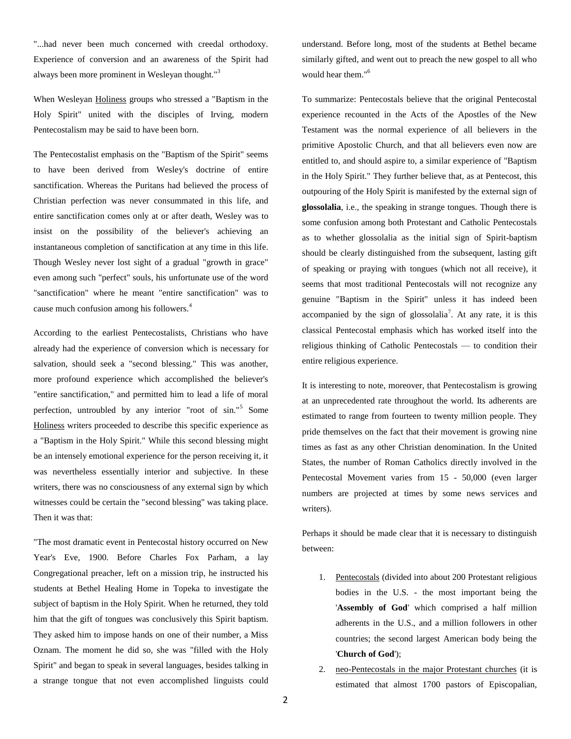"...had never been much concerned with creedal orthodoxy. Experience of conversion and an awareness of the Spirit had always been more prominent in Wesleyan thought."<sup>3</sup>

When Wesleyan Holiness groups who stressed a "Baptism in the Holy Spirit" united with the disciples of Irving, modern Pentecostalism may be said to have been born.

The Pentecostalist emphasis on the "Baptism of the Spirit" seems to have been derived from Wesley's doctrine of entire sanctification. Whereas the Puritans had believed the process of Christian perfection was never consummated in this life, and entire sanctification comes only at or after death, Wesley was to insist on the possibility of the believer's achieving an instantaneous completion of sanctification at any time in this life. Though Wesley never lost sight of a gradual "growth in grace" even among such "perfect" souls, his unfortunate use of the word "sanctification" where he meant "entire sanctification" was to cause much confusion among his followers.<sup>4</sup>

According to the earliest Pentecostalists, Christians who have already had the experience of conversion which is necessary for salvation, should seek a "second blessing." This was another, more profound experience which accomplished the believer's "entire sanctification," and permitted him to lead a life of moral perfection, untroubled by any interior "root of sin."<sup>5</sup> Some Holiness writers proceeded to describe this specific experience as a "Baptism in the Holy Spirit." While this second blessing might be an intensely emotional experience for the person receiving it, it was nevertheless essentially interior and subjective. In these writers, there was no consciousness of any external sign by which witnesses could be certain the "second blessing" was taking place. Then it was that:

"The most dramatic event in Pentecostal history occurred on New Year's Eve, 1900. Before Charles Fox Parham, a lay Congregational preacher, left on a mission trip, he instructed his students at Bethel Healing Home in Topeka to investigate the subject of baptism in the Holy Spirit. When he returned, they told him that the gift of tongues was conclusively this Spirit baptism. They asked him to impose hands on one of their number, a Miss Oznam. The moment he did so, she was "filled with the Holy Spirit" and began to speak in several languages, besides talking in a strange tongue that not even accomplished linguists could

understand. Before long, most of the students at Bethel became similarly gifted, and went out to preach the new gospel to all who would hear them."<sup>6</sup>

To summarize: Pentecostals believe that the original Pentecostal experience recounted in the Acts of the Apostles of the New Testament was the normal experience of all believers in the primitive Apostolic Church, and that all believers even now are entitled to, and should aspire to, a similar experience of "Baptism in the Holy Spirit." They further believe that, as at Pentecost, this outpouring of the Holy Spirit is manifested by the external sign of **glossolalia**, i.e., the speaking in strange tongues. Though there is some confusion among both Protestant and Catholic Pentecostals as to whether glossolalia as the initial sign of Spirit-baptism should be clearly distinguished from the subsequent, lasting gift of speaking or praying with tongues (which not all receive), it seems that most traditional Pentecostals will not recognize any genuine "Baptism in the Spirit" unless it has indeed been accompanied by the sign of glossolalia<sup>7</sup>. At any rate, it is this classical Pentecostal emphasis which has worked itself into the religious thinking of Catholic Pentecostals — to condition their entire religious experience.

It is interesting to note, moreover, that Pentecostalism is growing at an unprecedented rate throughout the world. Its adherents are estimated to range from fourteen to twenty million people. They pride themselves on the fact that their movement is growing nine times as fast as any other Christian denomination. In the United States, the number of Roman Catholics directly involved in the Pentecostal Movement varies from 15 - 50,000 (even larger numbers are projected at times by some news services and writers).

Perhaps it should be made clear that it is necessary to distinguish between:

- 1. Pentecostals (divided into about 200 Protestant religious bodies in the U.S. - the most important being the '**Assembly of God**' which comprised a half million adherents in the U.S., and a million followers in other countries; the second largest American body being the '**Church of God**');
- 2. neo-Pentecostals in the major Protestant churches (it is estimated that almost 1700 pastors of Episcopalian,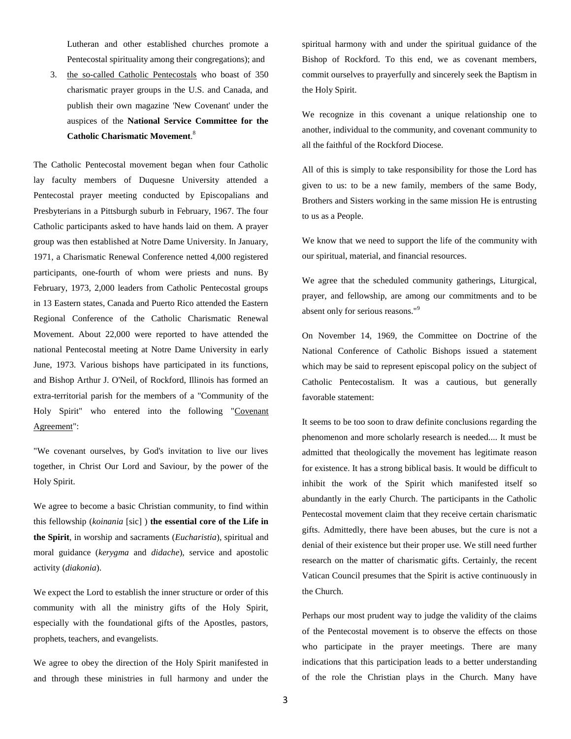Lutheran and other established churches promote a Pentecostal spirituality among their congregations); and

3. the so-called Catholic Pentecostals who boast of 350 charismatic prayer groups in the U.S. and Canada, and publish their own magazine 'New Covenant' under the auspices of the **National Service Committee for the Catholic Charismatic Movement**. 8

The Catholic Pentecostal movement began when four Catholic lay faculty members of Duquesne University attended a Pentecostal prayer meeting conducted by Episcopalians and Presbyterians in a Pittsburgh suburb in February, 1967. The four Catholic participants asked to have hands laid on them. A prayer group was then established at Notre Dame University. In January, 1971, a Charismatic Renewal Conference netted 4,000 registered participants, one-fourth of whom were priests and nuns. By February, 1973, 2,000 leaders from Catholic Pentecostal groups in 13 Eastern states, Canada and Puerto Rico attended the Eastern Regional Conference of the Catholic Charismatic Renewal Movement. About 22,000 were reported to have attended the national Pentecostal meeting at Notre Dame University in early June, 1973. Various bishops have participated in its functions, and Bishop Arthur J. O'Neil, of Rockford, Illinois has formed an extra-territorial parish for the members of a "Community of the Holy Spirit" who entered into the following "Covenant Agreement":

"We covenant ourselves, by God's invitation to live our lives together, in Christ Our Lord and Saviour, by the power of the Holy Spirit.

We agree to become a basic Christian community, to find within this fellowship (*koinania* [sic] ) **the essential core of the Life in the Spirit**, in worship and sacraments (*Eucharistia*), spiritual and moral guidance (*kerygma* and *didache*), service and apostolic activity (*diakonia*).

We expect the Lord to establish the inner structure or order of this community with all the ministry gifts of the Holy Spirit, especially with the foundational gifts of the Apostles, pastors, prophets, teachers, and evangelists.

We agree to obey the direction of the Holy Spirit manifested in and through these ministries in full harmony and under the spiritual harmony with and under the spiritual guidance of the Bishop of Rockford. To this end, we as covenant members, commit ourselves to prayerfully and sincerely seek the Baptism in the Holy Spirit.

We recognize in this covenant a unique relationship one to another, individual to the community, and covenant community to all the faithful of the Rockford Diocese.

All of this is simply to take responsibility for those the Lord has given to us: to be a new family, members of the same Body, Brothers and Sisters working in the same mission He is entrusting to us as a People.

We know that we need to support the life of the community with our spiritual, material, and financial resources.

We agree that the scheduled community gatherings, Liturgical, prayer, and fellowship, are among our commitments and to be absent only for serious reasons."<sup>9</sup>

On November 14, 1969, the Committee on Doctrine of the National Conference of Catholic Bishops issued a statement which may be said to represent episcopal policy on the subject of Catholic Pentecostalism. It was a cautious, but generally favorable statement:

It seems to be too soon to draw definite conclusions regarding the phenomenon and more scholarly research is needed.... It must be admitted that theologically the movement has legitimate reason for existence. It has a strong biblical basis. It would be difficult to inhibit the work of the Spirit which manifested itself so abundantly in the early Church. The participants in the Catholic Pentecostal movement claim that they receive certain charismatic gifts. Admittedly, there have been abuses, but the cure is not a denial of their existence but their proper use. We still need further research on the matter of charismatic gifts. Certainly, the recent Vatican Council presumes that the Spirit is active continuously in the Church.

Perhaps our most prudent way to judge the validity of the claims of the Pentecostal movement is to observe the effects on those who participate in the prayer meetings. There are many indications that this participation leads to a better understanding of the role the Christian plays in the Church. Many have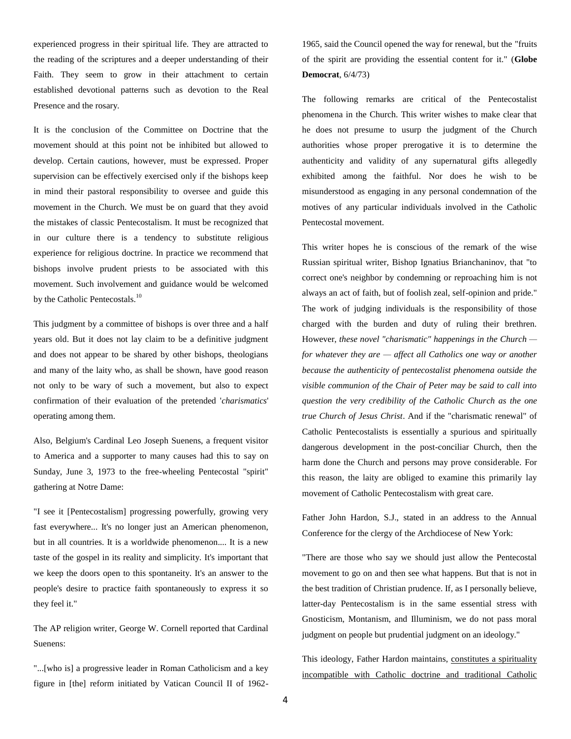experienced progress in their spiritual life. They are attracted to the reading of the scriptures and a deeper understanding of their Faith. They seem to grow in their attachment to certain established devotional patterns such as devotion to the Real Presence and the rosary.

It is the conclusion of the Committee on Doctrine that the movement should at this point not be inhibited but allowed to develop. Certain cautions, however, must be expressed. Proper supervision can be effectively exercised only if the bishops keep in mind their pastoral responsibility to oversee and guide this movement in the Church. We must be on guard that they avoid the mistakes of classic Pentecostalism. It must be recognized that in our culture there is a tendency to substitute religious experience for religious doctrine. In practice we recommend that bishops involve prudent priests to be associated with this movement. Such involvement and guidance would be welcomed by the Catholic Pentecostals.<sup>10</sup>

This judgment by a committee of bishops is over three and a half years old. But it does not lay claim to be a definitive judgment and does not appear to be shared by other bishops, theologians and many of the laity who, as shall be shown, have good reason not only to be wary of such a movement, but also to expect confirmation of their evaluation of the pretended '*charismatics*' operating among them.

Also, Belgium's Cardinal Leo Joseph Suenens, a frequent visitor to America and a supporter to many causes had this to say on Sunday, June 3, 1973 to the free-wheeling Pentecostal "spirit" gathering at Notre Dame:

"I see it [Pentecostalism] progressing powerfully, growing very fast everywhere... It's no longer just an American phenomenon, but in all countries. It is a worldwide phenomenon.... It is a new taste of the gospel in its reality and simplicity. It's important that we keep the doors open to this spontaneity. It's an answer to the people's desire to practice faith spontaneously to express it so they feel it."

The AP religion writer, George W. Cornell reported that Cardinal Suenens:

"...[who is] a progressive leader in Roman Catholicism and a key figure in [the] reform initiated by Vatican Council II of 19621965, said the Council opened the way for renewal, but the "fruits of the spirit are providing the essential content for it." (**Globe Democrat**, 6/4/73)

The following remarks are critical of the Pentecostalist phenomena in the Church. This writer wishes to make clear that he does not presume to usurp the judgment of the Church authorities whose proper prerogative it is to determine the authenticity and validity of any supernatural gifts allegedly exhibited among the faithful. Nor does he wish to be misunderstood as engaging in any personal condemnation of the motives of any particular individuals involved in the Catholic Pentecostal movement.

This writer hopes he is conscious of the remark of the wise Russian spiritual writer, Bishop Ignatius Brianchaninov, that "to correct one's neighbor by condemning or reproaching him is not always an act of faith, but of foolish zeal, self-opinion and pride." The work of judging individuals is the responsibility of those charged with the burden and duty of ruling their brethren. However, *these novel "charismatic" happenings in the Church for whatever they are — affect all Catholics one way or another because the authenticity of pentecostalist phenomena outside the visible communion of the Chair of Peter may be said to call into question the very credibility of the Catholic Church as the one true Church of Jesus Christ*. And if the "charismatic renewal" of Catholic Pentecostalists is essentially a spurious and spiritually dangerous development in the post-conciliar Church, then the harm done the Church and persons may prove considerable. For this reason, the laity are obliged to examine this primarily lay movement of Catholic Pentecostalism with great care.

Father John Hardon, S.J., stated in an address to the Annual Conference for the clergy of the Archdiocese of New York:

"There are those who say we should just allow the Pentecostal movement to go on and then see what happens. But that is not in the best tradition of Christian prudence. If, as I personally believe, latter-day Pentecostalism is in the same essential stress with Gnosticism, Montanism, and Illuminism, we do not pass moral judgment on people but prudential judgment on an ideology."

This ideology, Father Hardon maintains, constitutes a spirituality incompatible with Catholic doctrine and traditional Catholic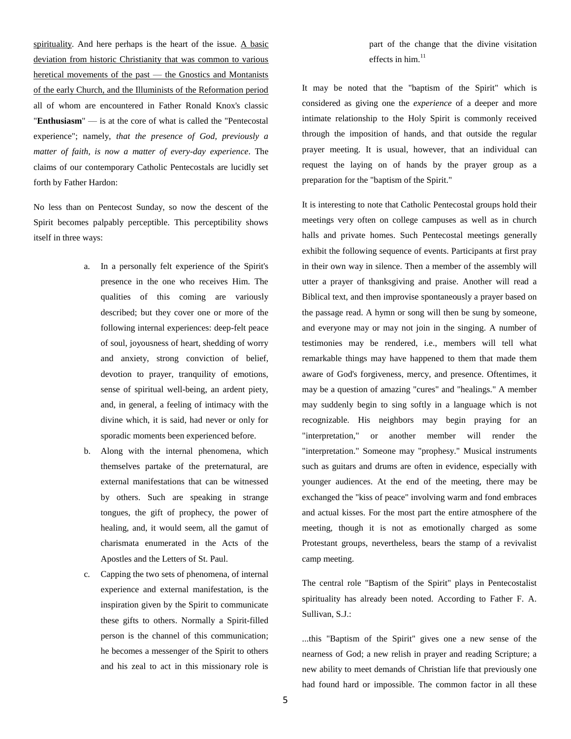spirituality. And here perhaps is the heart of the issue. A basic deviation from historic Christianity that was common to various heretical movements of the past — the Gnostics and Montanists of the early Church, and the Illuminists of the Reformation period all of whom are encountered in Father Ronald Knox's classic "**Enthusiasm**" — is at the core of what is called the "Pentecostal experience"; namely, *that the presence of God, previously a matter of faith, is now a matter of every-day experience*. The claims of our contemporary Catholic Pentecostals are lucidly set forth by Father Hardon:

No less than on Pentecost Sunday, so now the descent of the Spirit becomes palpably perceptible. This perceptibility shows itself in three ways:

- a. In a personally felt experience of the Spirit's presence in the one who receives Him. The qualities of this coming are variously described; but they cover one or more of the following internal experiences: deep-felt peace of soul, joyousness of heart, shedding of worry and anxiety, strong conviction of belief, devotion to prayer, tranquility of emotions, sense of spiritual well-being, an ardent piety, and, in general, a feeling of intimacy with the divine which, it is said, had never or only for sporadic moments been experienced before.
- b. Along with the internal phenomena, which themselves partake of the preternatural, are external manifestations that can be witnessed by others. Such are speaking in strange tongues, the gift of prophecy, the power of healing, and, it would seem, all the gamut of charismata enumerated in the Acts of the Apostles and the Letters of St. Paul.
- c. Capping the two sets of phenomena, of internal experience and external manifestation, is the inspiration given by the Spirit to communicate these gifts to others. Normally a Spirit-filled person is the channel of this communication; he becomes a messenger of the Spirit to others and his zeal to act in this missionary role is

part of the change that the divine visitation effects in him. $11$ 

It may be noted that the "baptism of the Spirit" which is considered as giving one the *experience* of a deeper and more intimate relationship to the Holy Spirit is commonly received through the imposition of hands, and that outside the regular prayer meeting. It is usual, however, that an individual can request the laying on of hands by the prayer group as a preparation for the "baptism of the Spirit."

It is interesting to note that Catholic Pentecostal groups hold their meetings very often on college campuses as well as in church halls and private homes. Such Pentecostal meetings generally exhibit the following sequence of events. Participants at first pray in their own way in silence. Then a member of the assembly will utter a prayer of thanksgiving and praise. Another will read a Biblical text, and then improvise spontaneously a prayer based on the passage read. A hymn or song will then be sung by someone, and everyone may or may not join in the singing. A number of testimonies may be rendered, i.e., members will tell what remarkable things may have happened to them that made them aware of God's forgiveness, mercy, and presence. Oftentimes, it may be a question of amazing "cures" and "healings." A member may suddenly begin to sing softly in a language which is not recognizable. His neighbors may begin praying for an "interpretation," or another member will render the "interpretation." Someone may "prophesy." Musical instruments such as guitars and drums are often in evidence, especially with younger audiences. At the end of the meeting, there may be exchanged the "kiss of peace" involving warm and fond embraces and actual kisses. For the most part the entire atmosphere of the meeting, though it is not as emotionally charged as some Protestant groups, nevertheless, bears the stamp of a revivalist camp meeting.

The central role "Baptism of the Spirit" plays in Pentecostalist spirituality has already been noted. According to Father F. A. Sullivan, S.J.:

...this "Baptism of the Spirit" gives one a new sense of the nearness of God; a new relish in prayer and reading Scripture; a new ability to meet demands of Christian life that previously one had found hard or impossible. The common factor in all these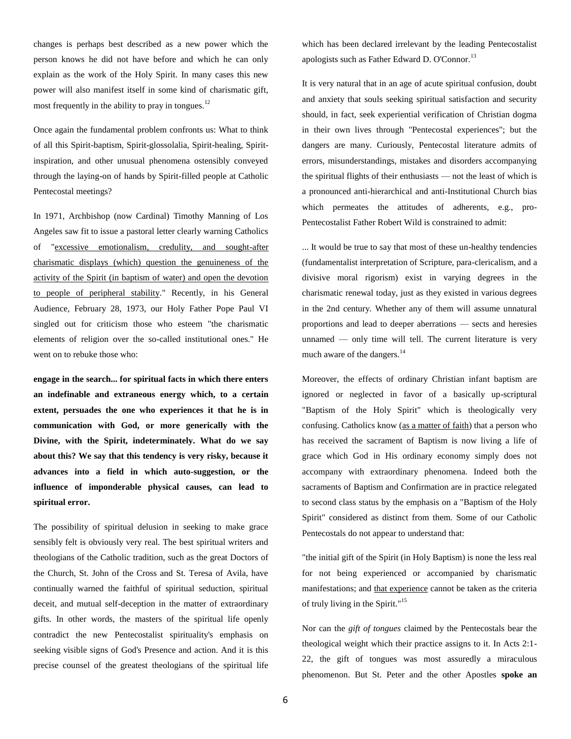changes is perhaps best described as a new power which the person knows he did not have before and which he can only explain as the work of the Holy Spirit. In many cases this new power will also manifest itself in some kind of charismatic gift, most frequently in the ability to pray in tongues. $^{12}$ 

Once again the fundamental problem confronts us: What to think of all this Spirit-baptism, Spirit-glossolalia, Spirit-healing, Spiritinspiration, and other unusual phenomena ostensibly conveyed through the laying-on of hands by Spirit-filled people at Catholic Pentecostal meetings?

In 1971, Archbishop (now Cardinal) Timothy Manning of Los Angeles saw fit to issue a pastoral letter clearly warning Catholics of "excessive emotionalism, credulity, and sought-after charismatic displays (which) question the genuineness of the activity of the Spirit (in baptism of water) and open the devotion to people of peripheral stability." Recently, in his General Audience, February 28, 1973, our Holy Father Pope Paul VI singled out for criticism those who esteem "the charismatic elements of religion over the so-called institutional ones." He went on to rebuke those who:

**engage in the search... for spiritual facts in which there enters an indefinable and extraneous energy which, to a certain extent, persuades the one who experiences it that he is in communication with God, or more generically with the Divine, with the Spirit, indeterminately. What do we say about this? We say that this tendency is very risky, because it advances into a field in which auto-suggestion, or the influence of imponderable physical causes, can lead to spiritual error.**

The possibility of spiritual delusion in seeking to make grace sensibly felt is obviously very real. The best spiritual writers and theologians of the Catholic tradition, such as the great Doctors of the Church, St. John of the Cross and St. Teresa of Avila, have continually warned the faithful of spiritual seduction, spiritual deceit, and mutual self-deception in the matter of extraordinary gifts. In other words, the masters of the spiritual life openly contradict the new Pentecostalist spirituality's emphasis on seeking visible signs of God's Presence and action. And it is this precise counsel of the greatest theologians of the spiritual life which has been declared irrelevant by the leading Pentecostalist apologists such as Father Edward D. O'Connor.<sup>13</sup>

It is very natural that in an age of acute spiritual confusion, doubt and anxiety that souls seeking spiritual satisfaction and security should, in fact, seek experiential verification of Christian dogma in their own lives through "Pentecostal experiences"; but the dangers are many. Curiously, Pentecostal literature admits of errors, misunderstandings, mistakes and disorders accompanying the spiritual flights of their enthusiasts — not the least of which is a pronounced anti-hierarchical and anti-Institutional Church bias which permeates the attitudes of adherents, e.g., pro-Pentecostalist Father Robert Wild is constrained to admit:

... It would be true to say that most of these un-healthy tendencies (fundamentalist interpretation of Scripture, para-clericalism, and a divisive moral rigorism) exist in varying degrees in the charismatic renewal today, just as they existed in various degrees in the 2nd century. Whether any of them will assume unnatural proportions and lead to deeper aberrations — sects and heresies unnamed — only time will tell. The current literature is very much aware of the dangers.<sup>14</sup>

Moreover, the effects of ordinary Christian infant baptism are ignored or neglected in favor of a basically up-scriptural "Baptism of the Holy Spirit" which is theologically very confusing. Catholics know (as a matter of faith) that a person who has received the sacrament of Baptism is now living a life of grace which God in His ordinary economy simply does not accompany with extraordinary phenomena. Indeed both the sacraments of Baptism and Confirmation are in practice relegated to second class status by the emphasis on a "Baptism of the Holy Spirit" considered as distinct from them. Some of our Catholic Pentecostals do not appear to understand that:

"the initial gift of the Spirit (in Holy Baptism) is none the less real for not being experienced or accompanied by charismatic manifestations; and that experience cannot be taken as the criteria of truly living in the Spirit."<sup>15</sup>

Nor can the *gift of tongues* claimed by the Pentecostals bear the theological weight which their practice assigns to it. In Acts 2:1- 22, the gift of tongues was most assuredly a miraculous phenomenon. But St. Peter and the other Apostles **spoke an**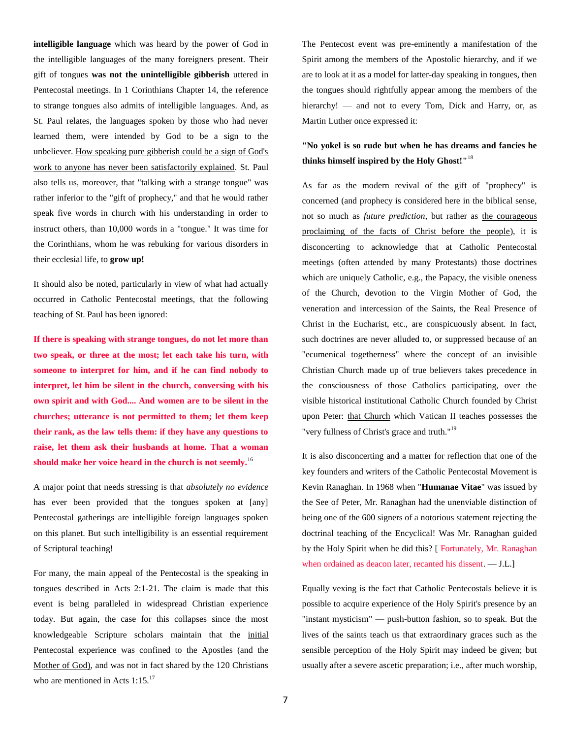**intelligible language** which was heard by the power of God in the intelligible languages of the many foreigners present. Their gift of tongues **was not the unintelligible gibberish** uttered in Pentecostal meetings. In 1 Corinthians Chapter 14, the reference to strange tongues also admits of intelligible languages. And, as St. Paul relates, the languages spoken by those who had never learned them, were intended by God to be a sign to the unbeliever. How speaking pure gibberish could be a sign of God's work to anyone has never been satisfactorily explained. St. Paul also tells us, moreover, that "talking with a strange tongue" was rather inferior to the "gift of prophecy," and that he would rather speak five words in church with his understanding in order to instruct others, than 10,000 words in a "tongue." It was time for the Corinthians, whom he was rebuking for various disorders in their ecclesial life, to **grow up!**

It should also be noted, particularly in view of what had actually occurred in Catholic Pentecostal meetings, that the following teaching of St. Paul has been ignored:

**If there is speaking with strange tongues, do not let more than two speak, or three at the most; let each take his turn, with someone to interpret for him, and if he can find nobody to interpret, let him be silent in the church, conversing with his own spirit and with God.... And women are to be silent in the churches; utterance is not permitted to them; let them keep their rank, as the law tells them: if they have any questions to raise, let them ask their husbands at home. That a woman should make her voice heard in the church is not seemly.**<sup>16</sup>

A major point that needs stressing is that *absolutely no evidence* has ever been provided that the tongues spoken at [any] Pentecostal gatherings are intelligible foreign languages spoken on this planet. But such intelligibility is an essential requirement of Scriptural teaching!

For many, the main appeal of the Pentecostal is the speaking in tongues described in Acts 2:1-21. The claim is made that this event is being paralleled in widespread Christian experience today. But again, the case for this collapses since the most knowledgeable Scripture scholars maintain that the initial Pentecostal experience was confined to the Apostles (and the Mother of God), and was not in fact shared by the 120 Christians who are mentioned in Acts 1:15.<sup>17</sup>

The Pentecost event was pre-eminently a manifestation of the Spirit among the members of the Apostolic hierarchy, and if we are to look at it as a model for latter-day speaking in tongues, then the tongues should rightfully appear among the members of the hierarchy! — and not to every Tom, Dick and Harry, or, as Martin Luther once expressed it:

## **"No yokel is so rude but when he has dreams and fancies he thinks himself inspired by the Holy Ghost!"**<sup>18</sup>

As far as the modern revival of the gift of "prophecy" is concerned (and prophecy is considered here in the biblical sense, not so much as *future prediction*, but rather as the courageous proclaiming of the facts of Christ before the people), it is disconcerting to acknowledge that at Catholic Pentecostal meetings (often attended by many Protestants) those doctrines which are uniquely Catholic, e.g., the Papacy, the visible oneness of the Church, devotion to the Virgin Mother of God, the veneration and intercession of the Saints, the Real Presence of Christ in the Eucharist, etc., are conspicuously absent. In fact, such doctrines are never alluded to, or suppressed because of an "ecumenical togetherness" where the concept of an invisible Christian Church made up of true believers takes precedence in the consciousness of those Catholics participating, over the visible historical institutional Catholic Church founded by Christ upon Peter: that Church which Vatican II teaches possesses the "very fullness of Christ's grace and truth."<sup>19</sup>

It is also disconcerting and a matter for reflection that one of the key founders and writers of the Catholic Pentecostal Movement is Kevin Ranaghan. In 1968 when "**Humanae Vitae**" was issued by the See of Peter, Mr. Ranaghan had the unenviable distinction of being one of the 600 signers of a notorious statement rejecting the doctrinal teaching of the Encyclical! Was Mr. Ranaghan guided by the Holy Spirit when he did this? [ Fortunately, Mr. Ranaghan when ordained as deacon later, recanted his dissent. — J.L.]

Equally vexing is the fact that Catholic Pentecostals believe it is possible to acquire experience of the Holy Spirit's presence by an "instant mysticism" — push-button fashion, so to speak. But the lives of the saints teach us that extraordinary graces such as the sensible perception of the Holy Spirit may indeed be given; but usually after a severe ascetic preparation; i.e., after much worship,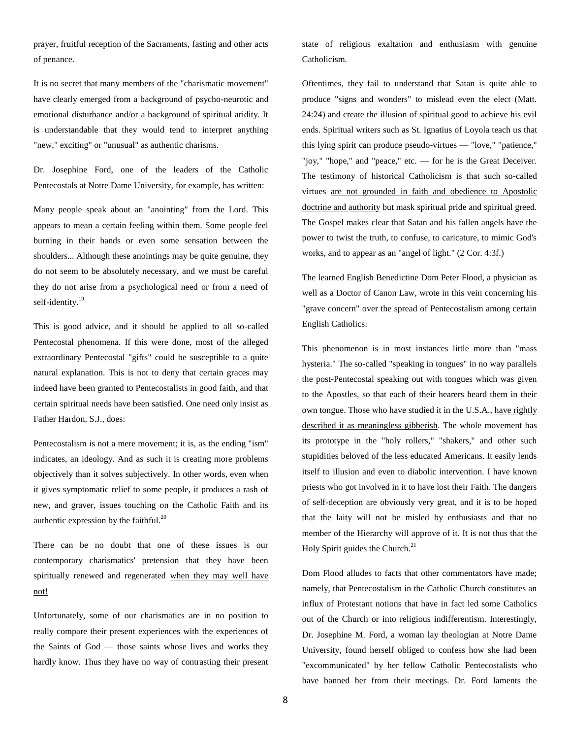prayer, fruitful reception of the Sacraments, fasting and other acts of penance.

It is no secret that many members of the "charismatic movement" have clearly emerged from a background of psycho-neurotic and emotional disturbance and/or a background of spiritual aridity. It is understandable that they would tend to interpret anything "new," exciting" or "unusual" as authentic charisms.

Dr. Josephine Ford, one of the leaders of the Catholic Pentecostals at Notre Dame University, for example, has written:

Many people speak about an "anointing" from the Lord. This appears to mean a certain feeling within them. Some people feel burning in their hands or even some sensation between the shoulders... Although these anointings may be quite genuine, they do not seem to be absolutely necessary, and we must be careful they do not arise from a psychological need or from a need of self-identity.<sup>19</sup>

This is good advice, and it should be applied to all so-called Pentecostal phenomena. If this were done, most of the alleged extraordinary Pentecostal "gifts" could be susceptible to a quite natural explanation. This is not to deny that certain graces may indeed have been granted to Pentecostalists in good faith, and that certain spiritual needs have been satisfied. One need only insist as Father Hardon, S.J., does:

Pentecostalism is not a mere movement; it is, as the ending "ism" indicates, an ideology. And as such it is creating more problems objectively than it solves subjectively. In other words, even when it gives symptomatic relief to some people, it produces a rash of new, and graver, issues touching on the Catholic Faith and its authentic expression by the faithful.<sup>20</sup>

There can be no doubt that one of these issues is our contemporary charismatics' pretension that they have been spiritually renewed and regenerated when they may well have not!

Unfortunately, some of our charismatics are in no position to really compare their present experiences with the experiences of the Saints of God — those saints whose lives and works they hardly know. Thus they have no way of contrasting their present state of religious exaltation and enthusiasm with genuine Catholicism.

Oftentimes, they fail to understand that Satan is quite able to produce "signs and wonders" to mislead even the elect (Matt. 24:24) and create the illusion of spiritual good to achieve his evil ends. Spiritual writers such as St. Ignatius of Loyola teach us that this lying spirit can produce pseudo-virtues — "love," "patience," "joy," "hope," and "peace," etc. — for he is the Great Deceiver. The testimony of historical Catholicism is that such so-called virtues are not grounded in faith and obedience to Apostolic doctrine and authority but mask spiritual pride and spiritual greed. The Gospel makes clear that Satan and his fallen angels have the power to twist the truth, to confuse, to caricature, to mimic God's works, and to appear as an "angel of light." (2 Cor. 4:3f.)

The learned English Benedictine Dom Peter Flood, a physician as well as a Doctor of Canon Law, wrote in this vein concerning his "grave concern" over the spread of Pentecostalism among certain English Catholics:

This phenomenon is in most instances little more than "mass hysteria." The so-called "speaking in tongues" in no way parallels the post-Pentecostal speaking out with tongues which was given to the Apostles, so that each of their hearers heard them in their own tongue. Those who have studied it in the U.S.A., have rightly described it as meaningless gibberish. The whole movement has its prototype in the "holy rollers," "shakers," and other such stupidities beloved of the less educated Americans. It easily lends itself to illusion and even to diabolic intervention. I have known priests who got involved in it to have lost their Faith. The dangers of self-deception are obviously very great, and it is to be hoped that the laity will not be misled by enthusiasts and that no member of the Hierarchy will approve of it. It is not thus that the Holy Spirit guides the Church.<sup>21</sup>

Dom Flood alludes to facts that other commentators have made; namely, that Pentecostalism in the Catholic Church constitutes an influx of Protestant notions that have in fact led some Catholics out of the Church or into religious indifferentism. Interestingly, Dr. Josephine M. Ford, a woman lay theologian at Notre Dame University, found herself obliged to confess how she had been "excommunicated" by her fellow Catholic Pentecostalists who have banned her from their meetings. Dr. Ford laments the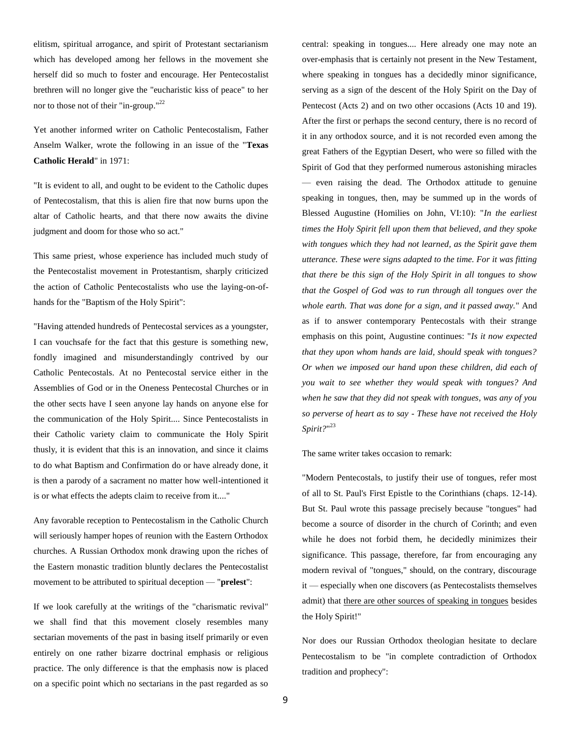elitism, spiritual arrogance, and spirit of Protestant sectarianism which has developed among her fellows in the movement she herself did so much to foster and encourage. Her Pentecostalist brethren will no longer give the "eucharistic kiss of peace" to her nor to those not of their "in-group."<sup>22</sup>

Yet another informed writer on Catholic Pentecostalism, Father Anselm Walker, wrote the following in an issue of the "**Texas Catholic Herald**" in 1971:

"It is evident to all, and ought to be evident to the Catholic dupes of Pentecostalism, that this is alien fire that now burns upon the altar of Catholic hearts, and that there now awaits the divine judgment and doom for those who so act."

This same priest, whose experience has included much study of the Pentecostalist movement in Protestantism, sharply criticized the action of Catholic Pentecostalists who use the laying-on-ofhands for the "Baptism of the Holy Spirit":

"Having attended hundreds of Pentecostal services as a youngster, I can vouchsafe for the fact that this gesture is something new, fondly imagined and misunderstandingly contrived by our Catholic Pentecostals. At no Pentecostal service either in the Assemblies of God or in the Oneness Pentecostal Churches or in the other sects have I seen anyone lay hands on anyone else for the communication of the Holy Spirit.... Since Pentecostalists in their Catholic variety claim to communicate the Holy Spirit thusly, it is evident that this is an innovation, and since it claims to do what Baptism and Confirmation do or have already done, it is then a parody of a sacrament no matter how well-intentioned it is or what effects the adepts claim to receive from it...."

Any favorable reception to Pentecostalism in the Catholic Church will seriously hamper hopes of reunion with the Eastern Orthodox churches. A Russian Orthodox monk drawing upon the riches of the Eastern monastic tradition bluntly declares the Pentecostalist movement to be attributed to spiritual deception — "**prelest**":

If we look carefully at the writings of the "charismatic revival" we shall find that this movement closely resembles many sectarian movements of the past in basing itself primarily or even entirely on one rather bizarre doctrinal emphasis or religious practice. The only difference is that the emphasis now is placed on a specific point which no sectarians in the past regarded as so

central: speaking in tongues.... Here already one may note an over-emphasis that is certainly not present in the New Testament, where speaking in tongues has a decidedly minor significance, serving as a sign of the descent of the Holy Spirit on the Day of Pentecost (Acts 2) and on two other occasions (Acts 10 and 19). After the first or perhaps the second century, there is no record of it in any orthodox source, and it is not recorded even among the great Fathers of the Egyptian Desert, who were so filled with the Spirit of God that they performed numerous astonishing miracles — even raising the dead. The Orthodox attitude to genuine speaking in tongues, then, may be summed up in the words of Blessed Augustine (Homilies on John, VI:10): "*In the earliest times the Holy Spirit fell upon them that believed, and they spoke with tongues which they had not learned, as the Spirit gave them utterance. These were signs adapted to the time. For it was fitting that there be this sign of the Holy Spirit in all tongues to show that the Gospel of God was to run through all tongues over the whole earth. That was done for a sign, and it passed away.*" And as if to answer contemporary Pentecostals with their strange emphasis on this point, Augustine continues: "*Is it now expected that they upon whom hands are laid, should speak with tongues? Or when we imposed our hand upon these children, did each of you wait to see whether they would speak with tongues? And when he saw that they did not speak with tongues, was any of you so perverse of heart as to say - These have not received the Holy Spirit?*" 23

The same writer takes occasion to remark:

"Modern Pentecostals, to justify their use of tongues, refer most of all to St. Paul's First Epistle to the Corinthians (chaps. 12-14). But St. Paul wrote this passage precisely because "tongues" had become a source of disorder in the church of Corinth; and even while he does not forbid them, he decidedly minimizes their significance. This passage, therefore, far from encouraging any modern revival of "tongues," should, on the contrary, discourage it — especially when one discovers (as Pentecostalists themselves admit) that there are other sources of speaking in tongues besides the Holy Spirit!"

Nor does our Russian Orthodox theologian hesitate to declare Pentecostalism to be "in complete contradiction of Orthodox tradition and prophecy":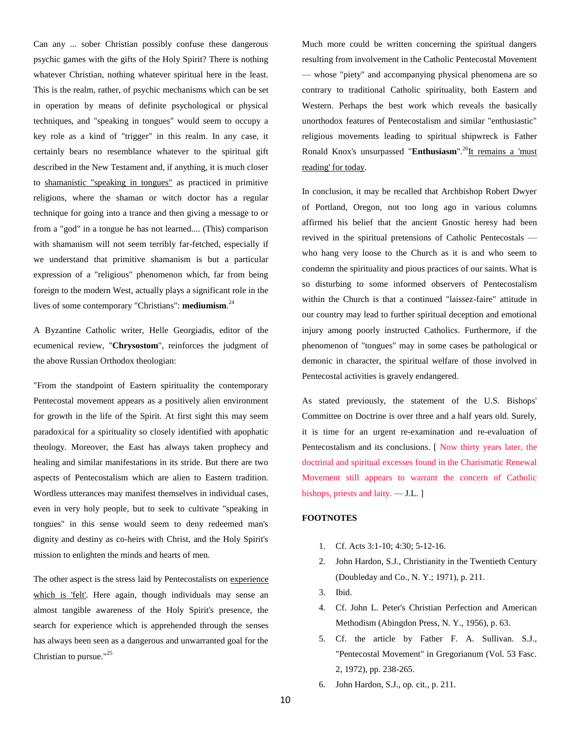Can any ... sober Christian possibly confuse these dangerous psychic games with the gifts of the Holy Spirit? There is nothing whatever Christian, nothing whatever spiritual here in the least. This is the realm, rather, of psychic mechanisms which can be set in operation by means of definite psychological or physical techniques, and "speaking in tongues" would seem to occupy a key role as a kind of "trigger" in this realm. In any case, it certainly bears no resemblance whatever to the spiritual gift described in the New Testament and, if anything, it is much closer to shamanistic "speaking in tongues" as practiced in primitive religions, where the shaman or witch doctor has a regular technique for going into a trance and then giving a message to or from a "god" in a tongue he has not learned.... (This) comparison with shamanism will not seem terribly far-fetched, especially if we understand that primitive shamanism is but a particular expression of a "religious" phenomenon which, far from being foreign to the modern West, actually plays a significant role in the lives of some contemporary "Christians": **mediumism**. 24

A Byzantine Catholic writer, Helle Georgiadis, editor of the ecumenical review, "**Chrysostom**", reinforces the judgment of the above Russian Orthodox theologian:

"From the standpoint of Eastern spirituality the contemporary Pentecostal movement appears as a positively alien environment for growth in the life of the Spirit. At first sight this may seem paradoxical for a spirituality so closely identified with apophatic theology. Moreover, the East has always taken prophecy and healing and similar manifestations in its stride. But there are two aspects of Pentecostalism which are alien to Eastern tradition. Wordless utterances may manifest themselves in individual cases, even in very holy people, but to seek to cultivate "speaking in tongues" in this sense would seem to deny redeemed man's dignity and destiny as co-heirs with Christ, and the Holy Spirit's mission to enlighten the minds and hearts of men.

The other aspect is the stress laid by Pentecostalists on experience which is 'felt'. Here again, though individuals may sense an almost tangible awareness of the Holy Spirit's presence, the search for experience which is apprehended through the senses has always been seen as a dangerous and unwarranted goal for the Christian to pursue."<sup>25</sup>

Much more could be written concerning the spiritual dangers resulting from involvement in the Catholic Pentecostal Movement — whose "piety" and accompanying physical phenomena are so contrary to traditional Catholic spirituality, both Eastern and Western. Perhaps the best work which reveals the basically unorthodox features of Pentecostalism and similar "enthusiastic" religious movements leading to spiritual shipwreck is Father Ronald Knox's unsurpassed "**Enthusiasm**".<sup>26</sup>It remains a 'must reading' for today.

In conclusion, it may be recalled that Archbishop Robert Dwyer of Portland, Oregon, not too long ago in various columns affirmed his belief that the ancient Gnostic heresy had been revived in the spiritual pretensions of Catholic Pentecostals who hang very loose to the Church as it is and who seem to condemn the spirituality and pious practices of our saints. What is so disturbing to some informed observers of Pentecostalism within the Church is that a continued "laissez-faire" attitude in our country may lead to further spiritual deception and emotional injury among poorly instructed Catholics. Furthermore, if the phenomenon of "tongues" may in some cases be pathological or demonic in character, the spiritual welfare of those involved in Pentecostal activities is gravely endangered.

As stated previously, the statement of the U.S. Bishops' Committee on Doctrine is over three and a half years old. Surely, it is time for an urgent re-examination and re-evaluation of Pentecostalism and its conclusions. [ Now thirty years later, the doctrinal and spiritual excesses found in the Charismatic Renewal Movement still appears to warrant the concern of Catholic bishops, priests and laity. — J.L. ]

## **FOOTNOTES**

- 1. Cf. Acts 3:1-10; 4:30; 5-12-16.
- 2. John Hardon, S.J., Christianity in the Twentieth Century (Doubleday and Co., N. Y.; 1971), p. 211.
- 3. Ibid.
- 4. Cf. John L. Peter's Christian Perfection and American Methodism (Abingdon Press, N. Y., 1956), p. 63.
- 5. Cf. the article by Father F. A. Sullivan. S.J., "Pentecostal Movement" in Gregorianum (Vol. 53 Fasc. 2, 1972), pp. 238-265.
- 6. John Hardon, S.J., op. cit., p. 211.